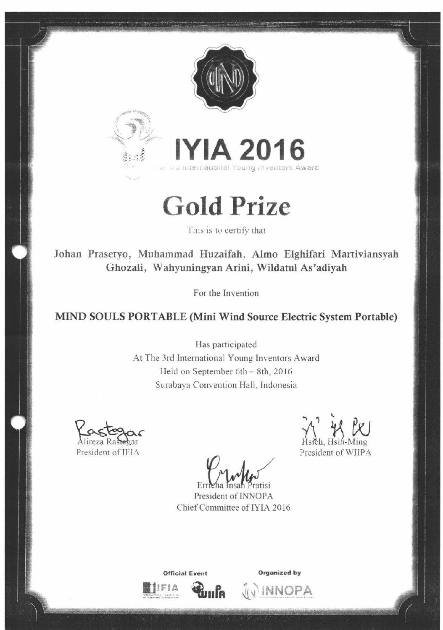



**Gold Prize** 

This is to certify that

Johan Prasetyo, Muhammad Huzaifah, Almo Elghifari Martiviansyah Ghozali, Wahyuningyan Arini, Wildatul As'adiyah

For the Invention

## MIND SOULS PORTABLE (Mini Wind Source Electric System Portable)

Has participated At The 3rd International Young Inventors Award Held on September 6th - 8th, 2016 Surabaya Convention Hall, Indonesia

President of IFIA

 $E_I$ 

President of INNOPA Chief Committee of IYIA 2016

President of WIIPA

**Official Event** աքօ



JU INNOPA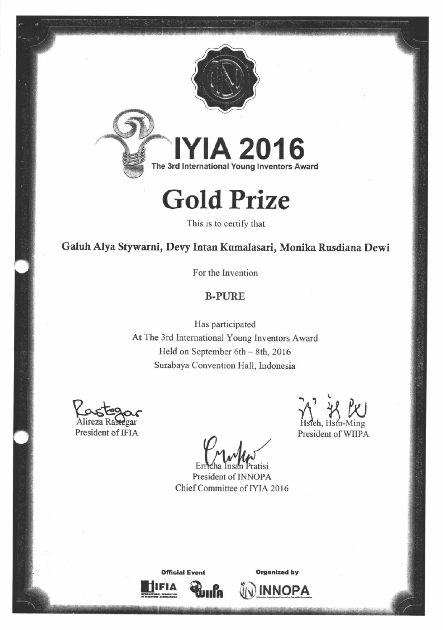

## **Gold Prize**

This is to certify that

Galuh Alya Stywarni, Devy Intan Kumalasari, Monika Rusdiana Dewi

For the Invention

## **B-PURE**

Has participated At The 3rd International Young Inventors Award Held on September 6th - 8th, 2016 Surabaya Convention Hall, Indonesia

President of IFIA

President of WIIPA

atisi

President of INNOPA Chief Committee of IYIA 2016



**Organized by** 

**INNOPA**